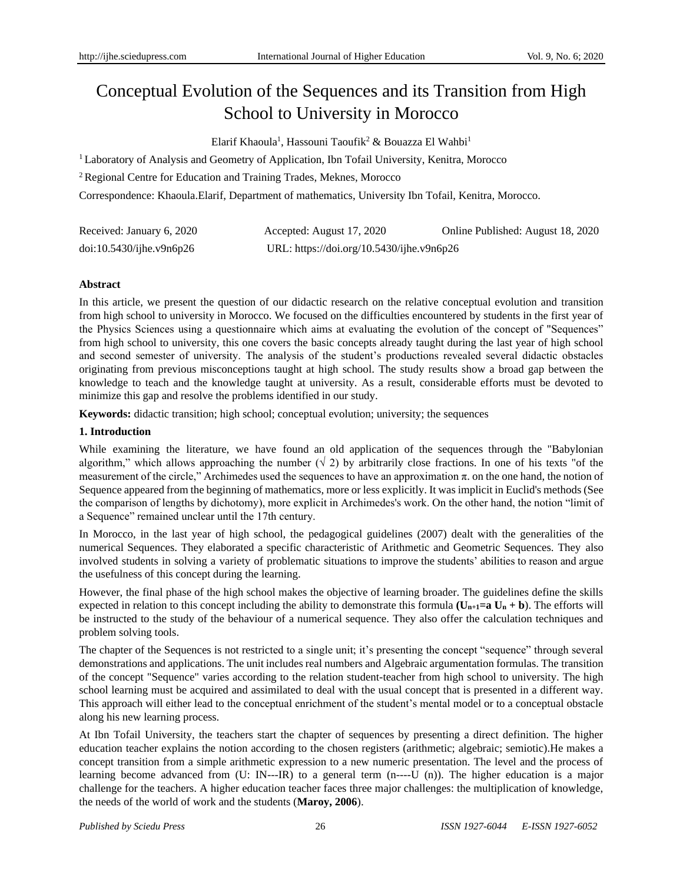# Conceptual Evolution of the Sequences and its Transition from High School to University in Morocco

Elarif Khaoula<sup>1</sup>, Hassouni Taoufik<sup>2</sup> & Bouazza El Wahbi<sup>1</sup>

<sup>1</sup> Laboratory of Analysis and Geometry of Application, Ibn Tofail University, Kenitra, Morocco

<sup>2</sup>Regional Centre for Education and Training Trades, Meknes, Morocco

Correspondence: Khaoula.Elarif, Department of mathematics, University Ibn Tofail, Kenitra, Morocco.

| Received: January 6, 2020 | Accepted: August 17, 2020                 | Online Published: August 18, 2020 |
|---------------------------|-------------------------------------------|-----------------------------------|
| doi:10.5430/jhe.v9n6p26   | URL: https://doi.org/10.5430/ijhe.v9n6p26 |                                   |

# **Abstract**

In this article, we present the question of our didactic research on the relative conceptual evolution and transition from high school to university in Morocco. We focused on the difficulties encountered by students in the first year of the Physics Sciences using a questionnaire which aims at evaluating the evolution of the concept of "Sequences" from high school to university, this one covers the basic concepts already taught during the last year of high school and second semester of university. The analysis of the student's productions revealed several didactic obstacles originating from previous misconceptions taught at high school. The study results show a broad gap between the knowledge to teach and the knowledge taught at university. As a result, considerable efforts must be devoted to minimize this gap and resolve the problems identified in our study.

**Keywords:** didactic transition; high school; conceptual evolution; university; the sequences

# **1. Introduction**

While examining the literature, we have found an old application of the sequences through the "Babylonian algorithm," which allows approaching the number  $(\sqrt{2})$  by arbitrarily close fractions. In one of his texts "of the measurement of the circle," Archimedes used the sequences to have an approximation  $\pi$ , on the one hand, the notion of Sequence appeared from the beginning of mathematics, more or less explicitly. It was implicit in Euclid's methods (See the comparison of lengths by dichotomy), more explicit in Archimedes's work. On the other hand, the notion "limit of a Sequence" remained unclear until the 17th century.

In Morocco, in the last year of high school, the pedagogical guidelines (2007) dealt with the generalities of the numerical Sequences. They elaborated a specific characteristic of Arithmetic and Geometric Sequences. They also involved students in solving a variety of problematic situations to improve the students' abilities to reason and argue the usefulness of this concept during the learning.

However, the final phase of the high school makes the objective of learning broader. The guidelines define the skills expected in relation to this concept including the ability to demonstrate this formula  $(U_{n+1}=a U_n + b)$ . The efforts will be instructed to the study of the behaviour of a numerical sequence. They also offer the calculation techniques and problem solving tools.

The chapter of the Sequences is not restricted to a single unit; it's presenting the concept "sequence" through several demonstrations and applications. The unit includes real numbers and Algebraic argumentation formulas. The transition of the concept "Sequence" varies according to the relation student-teacher from high school to university. The high school learning must be acquired and assimilated to deal with the usual concept that is presented in a different way. This approach will either lead to the conceptual enrichment of the student's mental model or to a conceptual obstacle along his new learning process.

At Ibn Tofail University, the teachers start the chapter of sequences by presenting a direct definition. The higher education teacher explains the notion according to the chosen registers (arithmetic; algebraic; semiotic).He makes a concept transition from a simple arithmetic expression to a new numeric presentation. The level and the process of learning become advanced from (U: IN---IR) to a general term (n----U (n)). The higher education is a major challenge for the teachers. A higher education teacher faces three major challenges: the multiplication of knowledge, the needs of the world of work and the students (**Maroy, 2006**).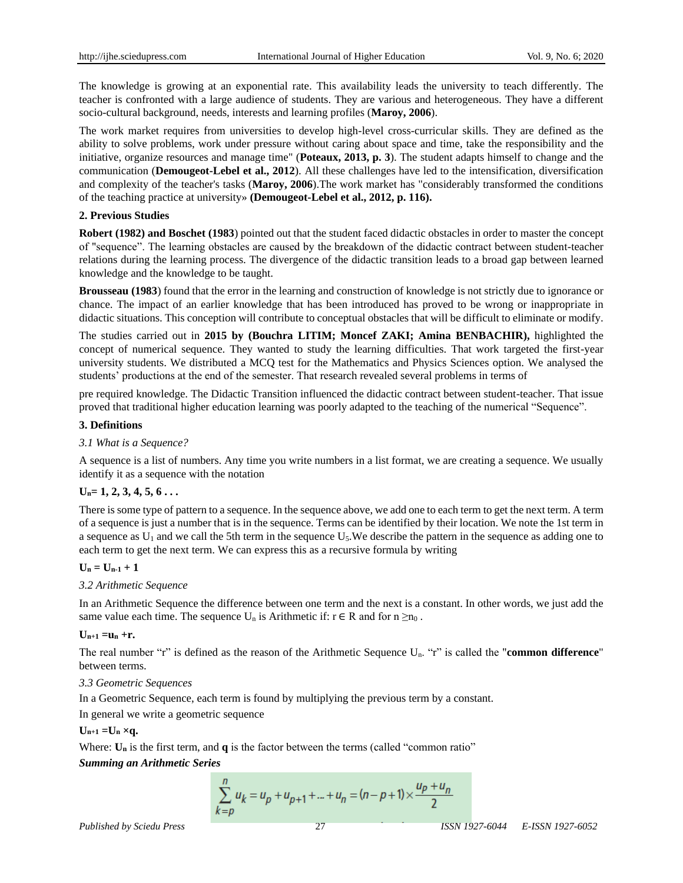The knowledge is growing at an exponential rate. This availability leads the university to teach differently. The teacher is confronted with a large audience of students. They are various and heterogeneous. They have a different socio-cultural background, needs, interests and learning profiles (**Maroy, 2006**).

The work market requires from universities to develop high-level cross-curricular skills. They are defined as the ability to solve problems, work under pressure without caring about space and time, take the responsibility and the initiative, organize resources and manage time" (**Poteaux, 2013, p. 3**). The student adapts himself to change and the communication (**Demougeot-Lebel et al., 2012**). All these challenges have led to the intensification, diversification and complexity of the teacher's tasks (**Maroy, 2006**).The work market has "considerably transformed the conditions of the teaching practice at university» **(Demougeot-Lebel et al., 2012, p. 116).**

## **2. Previous Studies**

**Robert (1982) and Boschet (1983**) pointed out that the student faced didactic obstacles in order to master the concept of "sequence". The learning obstacles are caused by the breakdown of the didactic contract between student-teacher relations during the learning process. The divergence of the didactic transition leads to a broad gap between learned knowledge and the knowledge to be taught.

**Brousseau (1983**) found that the error in the learning and construction of knowledge is not strictly due to ignorance or chance. The impact of an earlier knowledge that has been introduced has proved to be wrong or inappropriate in didactic situations. This conception will contribute to conceptual obstacles that will be difficult to eliminate or modify.

The studies carried out in **2015 by (Bouchra LITIM; Moncef ZAKI; Amina BENBACHIR),** highlighted the concept of numerical sequence. They wanted to study the learning difficulties. That work targeted the first-year university students. We distributed a MCQ test for the Mathematics and Physics Sciences option. We analysed the students' productions at the end of the semester. That research revealed several problems in terms of

pre required knowledge. The Didactic Transition influenced the didactic contract between student-teacher. That issue proved that traditional higher education learning was poorly adapted to the teaching of the numerical "Sequence".

# **3. Definitions**

# *3.1 What is a Sequence?*

A sequence is a list of numbers. Any time you write numbers in a list format, we are creating a sequence. We usually identify it as a sequence with the notation

# **Un= 1, 2, 3, 4, 5, 6 . . .**

There is some type of pattern to a sequence. In the sequence above, we add one to each term to get the next term. A term of a sequence is just a number that is in the sequence. Terms can be identified by their location. We note the 1st term in a sequence as  $U_1$  and we call the 5th term in the sequence  $U_5$ . We describe the pattern in the sequence as adding one to each term to get the next term. We can express this as a recursive formula by writing

# $U_n = U_{n-1} + 1$

#### *3.2 Arithmetic Sequence*

In an Arithmetic Sequence the difference between one term and the next is a constant. In other words, we just add the same value each time. The sequence  $U_n$  is Arithmetic if:  $r \in R$  and for  $n \geq n_0$ .

#### $U_{n+1} = u_n + r$ .

The real number "r" is defined as the reason of the Arithmetic Sequence Un. "r" is called the "**common difference**" between terms.

#### *3.3 Geometric Sequences*

In a Geometric Sequence, each term is found by multiplying the previous term by a constant.

In general we write a geometric sequence

 $U_{n+1} = U_n \times q$ .

Where:  $U_n$  is the first term, and  $q$  is the factor between the terms (called "common ratio"

#### *Summing an Arithmetic Series*

$$
\sum_{k=p}^{n} u_k = u_p + u_{p+1} + \dots + u_n = (n-p+1) \times \frac{u_p + u_n}{2}
$$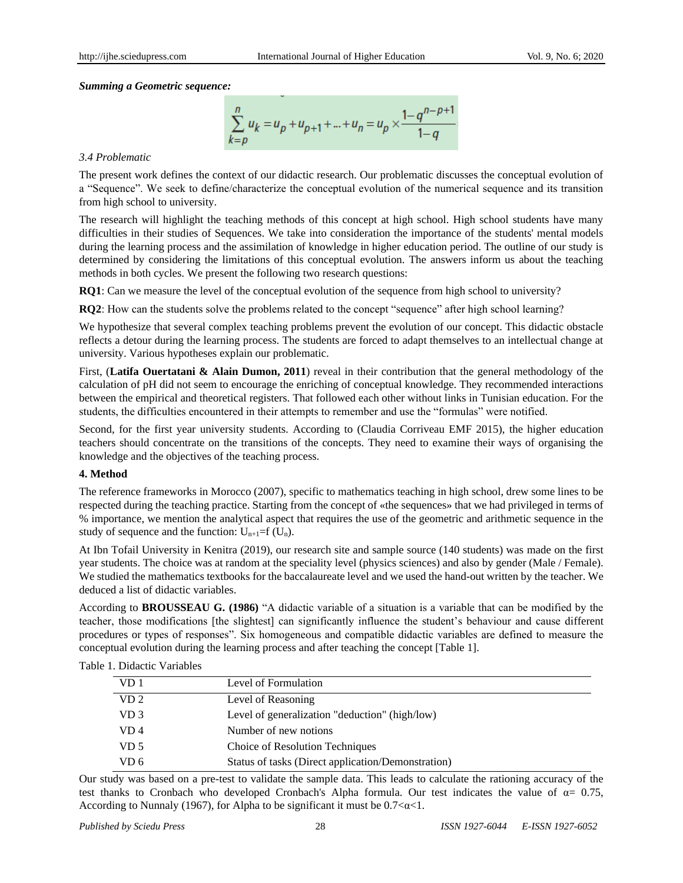*Summing a Geometric sequence:*

$$
\sum_{k=p}^{n} u_k = u_p + u_{p+1} + \dots + u_n = u_p \times \frac{1 - q^{n-p+1}}{1 - q}
$$

#### *3.4 Problematic*

The present work defines the context of our didactic research. Our problematic discusses the conceptual evolution of a "Sequence". We seek to define/characterize the conceptual evolution of the numerical sequence and its transition from high school to university.

The research will highlight the teaching methods of this concept at high school. High school students have many difficulties in their studies of Sequences. We take into consideration the importance of the students' mental models during the learning process and the assimilation of knowledge in higher education period. The outline of our study is determined by considering the limitations of this conceptual evolution. The answers inform us about the teaching methods in both cycles. We present the following two research questions:

**RQ1**: Can we measure the level of the conceptual evolution of the sequence from high school to university?

**RQ2**: How can the students solve the problems related to the concept "sequence" after high school learning?

We hypothesize that several complex teaching problems prevent the evolution of our concept. This didactic obstacle reflects a detour during the learning process. The students are forced to adapt themselves to an intellectual change at university. Various hypotheses explain our problematic.

First, (**Latifa Ouertatani & Alain Dumon, 2011**) reveal in their contribution that the general methodology of the calculation of pH did not seem to encourage the enriching of conceptual knowledge. They recommended interactions between the empirical and theoretical registers. That followed each other without links in Tunisian education. For the students, the difficulties encountered in their attempts to remember and use the "formulas" were notified.

Second, for the first year university students. According to (Claudia Corriveau EMF 2015), the higher education teachers should concentrate on the transitions of the concepts. They need to examine their ways of organising the knowledge and the objectives of the teaching process.

#### **4. Method**

The reference frameworks in Morocco (2007), specific to mathematics teaching in high school, drew some lines to be respected during the teaching practice. Starting from the concept of «the sequences» that we had privileged in terms of % importance, we mention the analytical aspect that requires the use of the geometric and arithmetic sequence in the study of sequence and the function:  $U_{n+1}=f(U_n)$ .

At Ibn Tofail University in Kenitra (2019), our research site and sample source (140 students) was made on the first year students. The choice was at random at the speciality level (physics sciences) and also by gender (Male / Female). We studied the mathematics textbooks for the baccalaureate level and we used the hand-out written by the teacher. We deduced a list of didactic variables.

According to **BROUSSEAU G. (1986)** "A didactic variable of a situation is a variable that can be modified by the teacher, those modifications [the slightest] can significantly influence the student's behaviour and cause different procedures or types of responses". Six homogeneous and compatible didactic variables are defined to measure the conceptual evolution during the learning process and after teaching the concept [Table 1].

| Table 1. Didactic Variables |  |
|-----------------------------|--|
|-----------------------------|--|

| VD 1            | Level of Formulation                               |
|-----------------|----------------------------------------------------|
| VD <sub>2</sub> | Level of Reasoning                                 |
| VD 3            | Level of generalization "deduction" (high/low)     |
| VD 4            | Number of new notions                              |
| VD 5            | Choice of Resolution Techniques                    |
| VD 6            | Status of tasks (Direct application/Demonstration) |

Our study was based on a pre-test to validate the sample data. This leads to calculate the rationing accuracy of the test thanks to Cronbach who developed Cronbach's Alpha formula. Our test indicates the value of  $\alpha = 0.75$ , According to Nunnaly (1967), for Alpha to be significant it must be  $0.7 < \alpha < 1$ .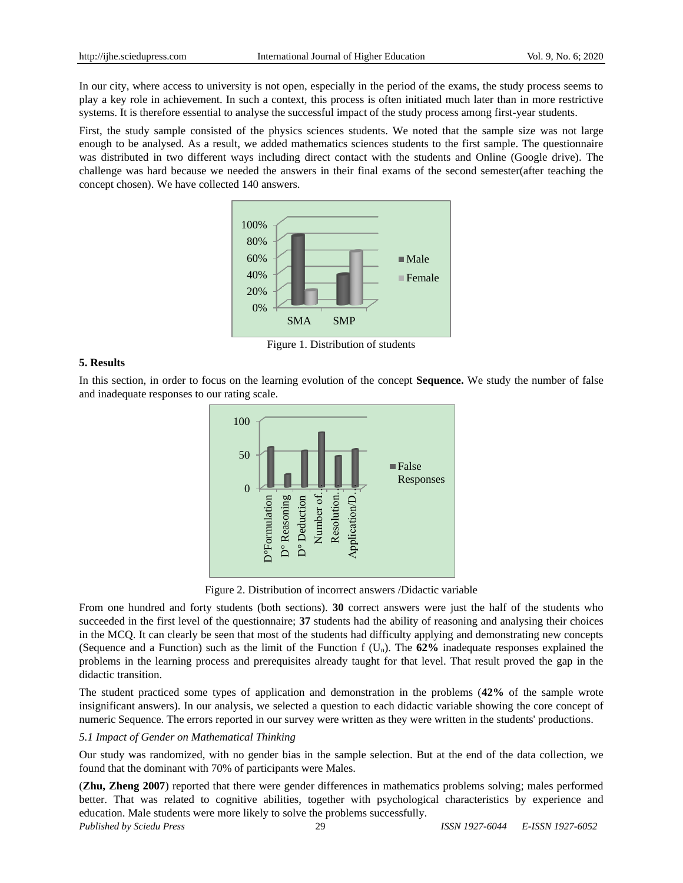In our city, where access to university is not open, especially in the period of the exams, the study process seems to play a key role in achievement. In such a context, this process is often initiated much later than in more restrictive systems. It is therefore essential to analyse the successful impact of the study process among first-year students.

First, the study sample consisted of the physics sciences students. We noted that the sample size was not large enough to be analysed. As a result, we added mathematics sciences students to the first sample. The questionnaire was distributed in two different ways including direct contact with the students and Online (Google drive). The challenge was hard because we needed the answers in their final exams of the second semester(after teaching the concept chosen). We have collected 140 answers.



Figure 1. Distribution of students

#### **5. Results**

In this section, in order to focus on the learning evolution of the concept **Sequence.** We study the number of false and inadequate responses to our rating scale.



Figure 2. Distribution of incorrect answers /Didactic variable

From one hundred and forty students (both sections). **30** correct answers were just the half of the students who succeeded in the first level of the questionnaire; **37** students had the ability of reasoning and analysing their choices in the MCQ. It can clearly be seen that most of the students had difficulty applying and demonstrating new concepts (Sequence and a Function) such as the limit of the Function f (Un). The **62%** inadequate responses explained the problems in the learning process and prerequisites already taught for that level. That result proved the gap in the didactic transition.

The student practiced some types of application and demonstration in the problems (**42%** of the sample wrote insignificant answers). In our analysis, we selected a question to each didactic variable showing the core concept of numeric Sequence. The errors reported in our survey were written as they were written in the students' productions.

## *5.1 Impact of Gender on Mathematical Thinking*

Our study was randomized, with no gender bias in the sample selection. But at the end of the data collection, we found that the dominant with 70% of participants were Males.

(**Zhu, Zheng 2007**) reported that there were gender differences in mathematics problems solving; males performed better. That was related to cognitive abilities, together with psychological characteristics by experience and education. Male students were more likely to solve the problems successfully.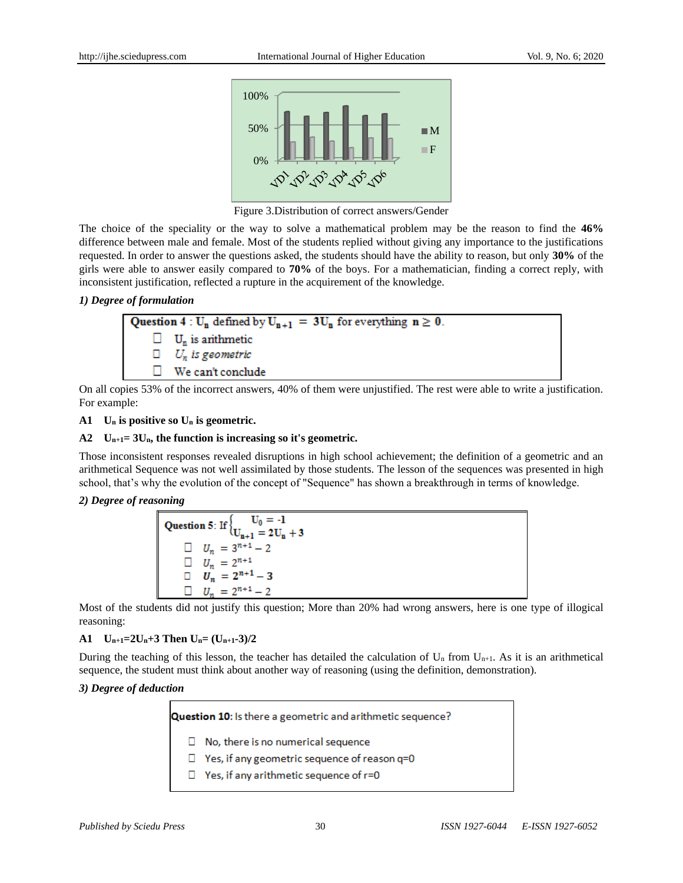

Figure 3.Distribution of correct answers/Gender

The choice of the speciality or the way to solve a mathematical problem may be the reason to find the **46%** difference between male and female. Most of the students replied without giving any importance to the justifications requested. In order to answer the questions asked, the students should have the ability to reason, but only **30%** of the girls were able to answer easily compared to **70%** of the boys. For a mathematician, finding a correct reply, with inconsistent justification, reflected a rupture in the acquirement of the knowledge.

# *1) Degree of formulation*

| <b>Question 4</b> : $U_n$ defined by $U_{n+1} = 3U_n$ for everything $n \ge 0$ . |                                    |  |
|----------------------------------------------------------------------------------|------------------------------------|--|
|                                                                                  | $\Box$ U <sub>n</sub> is anthmetic |  |
|                                                                                  | $\Box$ $U_n$ is geometric          |  |
|                                                                                  | We can't conclude                  |  |

On all copies 53% of the incorrect answers, 40% of them were unjustified. The rest were able to write a justification. For example:

# **A1 U<sup>n</sup> is positive so U<sup>n</sup> is geometric.**

# **A2 Un+1= 3Un, the function is increasing so it's geometric.**

Those inconsistent responses revealed disruptions in high school achievement; the definition of a geometric and an arithmetical Sequence was not well assimilated by those students. The lesson of the sequences was presented in high school, that's why the evolution of the concept of "Sequence" has shown a breakthrough in terms of knowledge.

# *2) Degree of reasoning*

| Question 5: If $\{ \begin{aligned} U_0 &= -1 \\ U_{n+1} &= 2U_n + 3 \end{aligned}$ |  |
|------------------------------------------------------------------------------------|--|
| $U_n = 3^{n+1} - 2$                                                                |  |
| $U_n = 2^{n+1}$                                                                    |  |
| $U_n = 2^{n+1} - 3$                                                                |  |
| $U_n = 2^{n+1} - 2$                                                                |  |

Most of the students did not justify this question; More than 20% had wrong answers, here is one type of illogical reasoning:

# A1  $U_{n+1} = 2U_n + 3$  Then  $U_n = (U_{n+1} - 3)/2$

During the teaching of this lesson, the teacher has detailed the calculation of  $U_n$  from  $U_{n+1}$ . As it is an arithmetical sequence, the student must think about another way of reasoning (using the definition, demonstration).

# *3) Degree of deduction*

Question 10: Is there a geometric and arithmetic sequence?

- $\Box$  No, there is no numerical sequence
- $\Box$  Yes, if any geometric sequence of reason q=0
- $\Box$  Yes, if any arithmetic sequence of r=0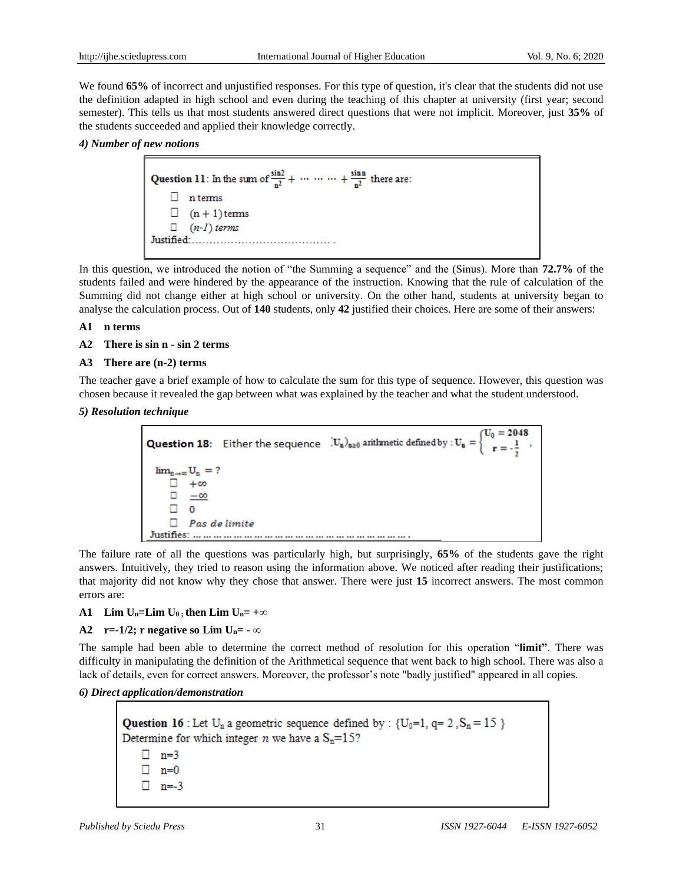We found **65%** of incorrect and unjustified responses. For this type of question, it's clear that the students did not use the definition adapted in high school and even during the teaching of this chapter at university (first year; second semester). This tells us that most students answered direct questions that were not implicit. Moreover, just **35%** of the students succeeded and applied their knowledge correctly.

#### *4) Number of new notions*



In this question, we introduced the notion of "the Summing a sequence" and the (Sinus). More than **72.7%** of the students failed and were hindered by the appearance of the instruction. Knowing that the rule of calculation of the Summing did not change either at high school or university. On the other hand, students at university began to analyse the calculation process. Out of **140** students, only **42** justified their choices. Here are some of their answers:

#### **A1 n terms**

**A2 There is sin n - sin 2 terms** 

## **A3 There are (n-2) terms**

The teacher gave a brief example of how to calculate the sum for this type of sequence. However, this question was chosen because it revealed the gap between what was explained by the teacher and what the student understood.

*5) Resolution technique*



The failure rate of all the questions was particularly high, but surprisingly, **65%** of the students gave the right answers. Intuitively, they tried to reason using the information above. We noticed after reading their justifications; that majority did not know why they chose that answer. There were just **15** incorrect answers. The most common errors are:

#### **A1** Lim  $U_n$ =Lim  $U_0$  **; then Lim**  $U_n$ = +∞

# **A2** r=-1/2; r negative so Lim  $U_n$ = - ∞

The sample had been able to determine the correct method of resolution for this operation "**limit"**. There was difficulty in manipulating the definition of the Arithmetical sequence that went back to high school. There was also a lack of details, even for correct answers. Moreover, the professor's note "badly justified" appeared in all copies.

#### *6) Direct application/demonstration*

**Question 16**: Let  $U_n$  a geometric sequence defined by :  $\{U_0=1, q=2, S_n=15\}$ <br>Determine for which integer *n* we have a  $S_n=15$ ? Determine for which integer *n* we have a  $S_n = 15$ ?  $\Box$  n=3  $\Box$  n=0  $\Box$  n=-3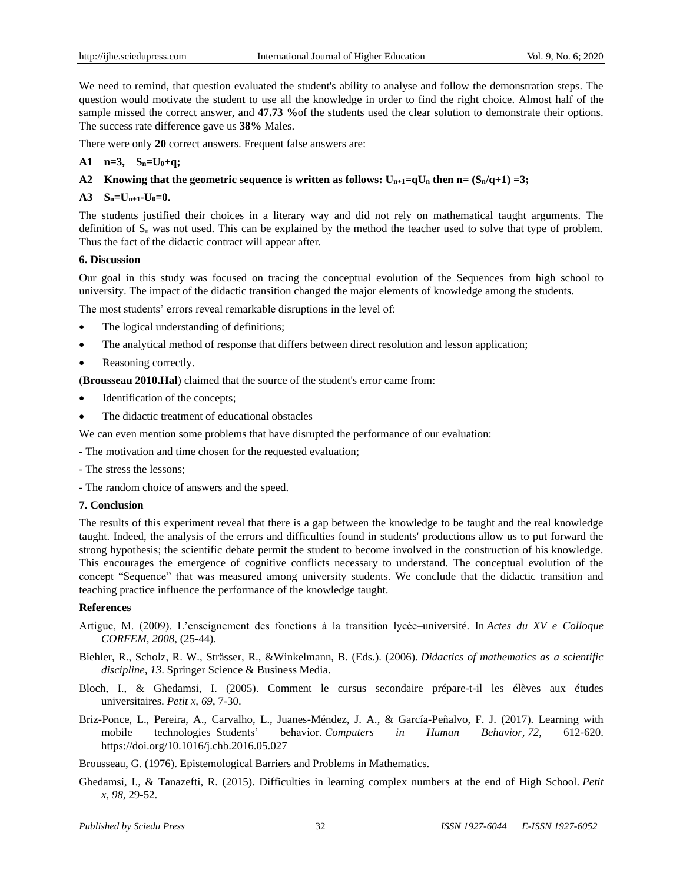We need to remind, that question evaluated the student's ability to analyse and follow the demonstration steps. The question would motivate the student to use all the knowledge in order to find the right choice. Almost half of the sample missed the correct answer, and **47.73 %**of the students used the clear solution to demonstrate their options. The success rate difference gave us **38%** Males.

There were only **20** correct answers. Frequent false answers are:

# **A1 n=3, Sn=U0+q;**

# **A2** Knowing that the geometric sequence is written as follows:  $U_{n+1}=qU_n$  then  $n=(S_n/q+1)=3$ ;

## $A3 \quad S_n = U_{n+1} \cdot U_0 = 0.$

The students justified their choices in a literary way and did not rely on mathematical taught arguments. The definition of  $S_n$  was not used. This can be explained by the method the teacher used to solve that type of problem. Thus the fact of the didactic contract will appear after.

#### **6. Discussion**

Our goal in this study was focused on tracing the conceptual evolution of the Sequences from high school to university. The impact of the didactic transition changed the major elements of knowledge among the students.

The most students' errors reveal remarkable disruptions in the level of:

- The logical understanding of definitions;
- The analytical method of response that differs between direct resolution and lesson application;
- Reasoning correctly.

(**Brousseau 2010.Hal**) claimed that the source of the student's error came from:

- Identification of the concepts;
- The didactic treatment of educational obstacles

We can even mention some problems that have disrupted the performance of our evaluation:

- The motivation and time chosen for the requested evaluation;
- The stress the lessons;
- The random choice of answers and the speed.

#### **7. Conclusion**

The results of this experiment reveal that there is a gap between the knowledge to be taught and the real knowledge taught. Indeed, the analysis of the errors and difficulties found in students' productions allow us to put forward the strong hypothesis; the scientific debate permit the student to become involved in the construction of his knowledge. This encourages the emergence of cognitive conflicts necessary to understand. The conceptual evolution of the concept "Sequence" that was measured among university students. We conclude that the didactic transition and teaching practice influence the performance of the knowledge taught.

#### **References**

- Artigue, M. (2009). L'enseignement des fonctions à la transition lycée–université. In *Actes du XV e Colloque CORFEM, 2008*, (25-44).
- Biehler, R., Scholz, R. W., Strässer, R., &Winkelmann, B. (Eds.). (2006). *Didactics of mathematics as a scientific discipline, 13*. Springer Science & Business Media.
- Bloch, I., & Ghedamsi, I. (2005). Comment le cursus secondaire prépare-t-il les élèves aux études universitaires. *Petit x, 69*, 7-30.
- Briz-Ponce, L., Pereira, A., Carvalho, L., Juanes-Méndez, J. A., & García-Peñalvo, F. J. (2017). Learning with mobile technologies–Students' behavior. *Computers in Human Behavior, 72*, 612-620. <https://doi.org/10.1016/j.chb.2016.05.027>

Brousseau, G. (1976). Epistemological Barriers and Problems in Mathematics.

Ghedamsi, I., & Tanazefti, R. (2015). Difficulties in learning complex numbers at the end of High School. *Petit x, 98*, 29-52.